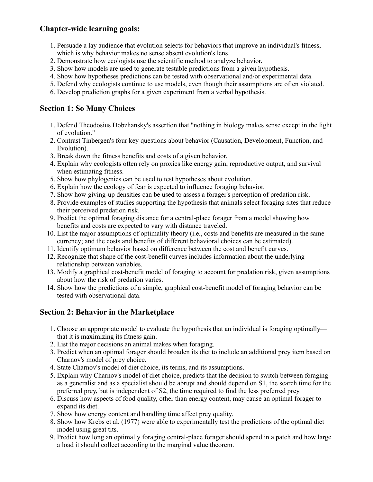# **Chapter-wide learning goals:**

- 1. Persuade a lay audience that evolution selects for behaviors that improve an individual's fitness, which is why behavior makes no sense absent evolution's lens.
- 2. Demonstrate how ecologists use the scientific method to analyze behavior.
- 3. Show how models are used to generate testable predictions from a given hypothesis.
- 4. Show how hypotheses predictions can be tested with observational and/or experimental data.
- 5. Defend why ecologists continue to use models, even though their assumptions are often violated.
- 6. Develop prediction graphs for a given experiment from a verbal hypothesis.

### **Section 1: So Many Choices**

- 1. Defend Theodosius Dobzhansky's assertion that "nothing in biology makes sense except in the light of evolution."
- 2. Contrast Tinbergen's four key questions about behavior (Causation, Development, Function, and Evolution).
- 3. Break down the fitness benefits and costs of a given behavior.
- 4. Explain why ecologists often rely on proxies like energy gain, reproductive output, and survival when estimating fitness.
- 5. Show how phylogenies can be used to test hypotheses about evolution.
- 6. Explain how the ecology of fear is expected to influence foraging behavior.
- 7. Show how giving-up densities can be used to assess a forager's perception of predation risk.
- 8. Provide examples of studies supporting the hypothesis that animals select foraging sites that reduce their perceived predation risk.
- 9. Predict the optimal foraging distance for a central-place forager from a model showing how benefits and costs are expected to vary with distance traveled.
- 10. List the major assumptions of optimality theory (i.e., costs and benefits are measured in the same currency; and the costs and benefits of different behavioral choices can be estimated).
- 11. Identify optimum behavior based on difference between the cost and benefit curves.
- 12. Recognize that shape of the cost-benefit curves includes information about the underlying relationship between variables.
- 13. Modify a graphical cost-benefit model of foraging to account for predation risk, given assumptions about how the risk of predation varies.
- 14. Show how the predictions of a simple, graphical cost-benefit model of foraging behavior can be tested with observational data.

# **Section 2: Behavior in the Marketplace**

- 1. Choose an appropriate model to evaluate the hypothesis that an individual is foraging optimally that it is maximizing its fitness gain.
- 2. List the major decisions an animal makes when foraging.
- 3. Predict when an optimal forager should broaden its diet to include an additional prey item based on Charnov's model of prey choice.
- 4. State Charnov's model of diet choice, its terms, and its assumptions.
- 5. Explain why Charnov's model of diet choice, predicts that the decision to switch between foraging as a generalist and as a specialist should be abrupt and should depend on S1, the search time for the preferred prey, but is independent of S2, the time required to find the less preferred prey.
- 6. Discuss how aspects of food quality, other than energy content, may cause an optimal forager to expand its diet.
- 7. Show how energy content and handling time affect prey quality.
- 8. Show how Krebs et al. (1977) were able to experimentally test the predictions of the optimal diet model using great tits.
- 9. Predict how long an optimally foraging central-place forager should spend in a patch and how large a load it should collect according to the marginal value theorem.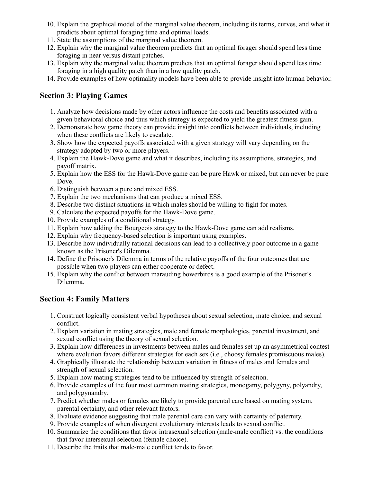- 10. Explain the graphical model of the marginal value theorem, including its terms, curves, and what it predicts about optimal foraging time and optimal loads.
- 11. State the assumptions of the marginal value theorem.
- 12. Explain why the marginal value theorem predicts that an optimal forager should spend less time foraging in near versus distant patches.
- 13. Explain why the marginal value theorem predicts that an optimal forager should spend less time foraging in a high quality patch than in a low quality patch.
- 14. Provide examples of how optimality models have been able to provide insight into human behavior.

### **Section 3: Playing Games**

- 1. Analyze how decisions made by other actors influence the costs and benefits associated with a given behavioral choice and thus which strategy is expected to yield the greatest fitness gain.
- 2. Demonstrate how game theory can provide insight into conflicts between individuals, including when these conflicts are likely to escalate.
- 3. Show how the expected payoffs associated with a given strategy will vary depending on the strategy adopted by two or more players.
- 4. Explain the Hawk-Dove game and what it describes, including its assumptions, strategies, and payoff matrix.
- 5. Explain how the ESS for the Hawk-Dove game can be pure Hawk or mixed, but can never be pure Dove.
- 6. Distinguish between a pure and mixed ESS.
- 7. Explain the two mechanisms that can produce a mixed ESS.
- 8. Describe two distinct situations in which males should be willing to fight for mates.
- 9. Calculate the expected payoffs for the Hawk-Dove game.
- 10. Provide examples of a conditional strategy.
- 11. Explain how adding the Bourgeois strategy to the Hawk-Dove game can add realisms.
- 12. Explain why frequency-based selection is important using examples.
- 13. Describe how individually rational decisions can lead to a collectively poor outcome in a game known as the Prisoner's Dilemma.
- 14. Define the Prisoner's Dilemma in terms of the relative payoffs of the four outcomes that are possible when two players can either cooperate or defect.
- 15. Explain why the conflict between marauding bowerbirds is a good example of the Prisoner's Dilemma.

# **Section 4: Family Matters**

- 1. Construct logically consistent verbal hypotheses about sexual selection, mate choice, and sexual conflict.
- 2. Explain variation in mating strategies, male and female morphologies, parental investment, and sexual conflict using the theory of sexual selection.
- 3. Explain how differences in investments between males and females set up an asymmetrical contest where evolution favors different strategies for each sex (i.e., choosy females promiscuous males).
- 4. Graphically illustrate the relationship between variation in fitness of males and females and strength of sexual selection.
- 5. Explain how mating strategies tend to be influenced by strength of selection.
- 6. Provide examples of the four most common mating strategies, monogamy, polygyny, polyandry, and polygynandry.
- 7. Predict whether males or females are likely to provide parental care based on mating system, parental certainty, and other relevant factors.
- 8. Evaluate evidence suggesting that male parental care can vary with certainty of paternity.
- 9. Provide examples of when divergent evolutionary interests leads to sexual conflict.
- 10. Summarize the conditions that favor intrasexual selection (male-male conflict) vs. the conditions that favor intersexual selection (female choice).
- 11. Describe the traits that male-male conflict tends to favor.